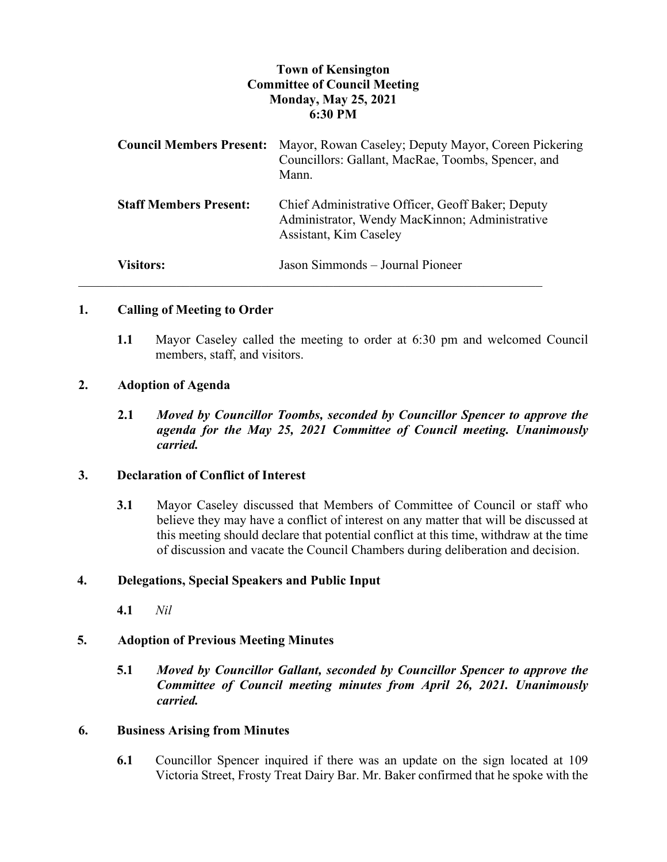## **Town of Kensington Committee of Council Meeting Monday, May 25, 2021 6:30 PM**

| <b>Council Members Present:</b> | Mayor, Rowan Caseley; Deputy Mayor, Coreen Pickering<br>Councillors: Gallant, MacRae, Toombs, Spencer, and<br>Mann.           |
|---------------------------------|-------------------------------------------------------------------------------------------------------------------------------|
| <b>Staff Members Present:</b>   | Chief Administrative Officer, Geoff Baker; Deputy<br>Administrator, Wendy MacKinnon; Administrative<br>Assistant, Kim Caseley |
| <b>Visitors:</b>                | Jason Simmonds – Journal Pioneer                                                                                              |

### **1. Calling of Meeting to Order**

**1.1** Mayor Caseley called the meeting to order at 6:30 pm and welcomed Council members, staff, and visitors.

### **2. Adoption of Agenda**

**2.1** *Moved by Councillor Toombs, seconded by Councillor Spencer to approve the agenda for the May 25, 2021 Committee of Council meeting. Unanimously carried.*

### **3. Declaration of Conflict of Interest**

**3.1** Mayor Caseley discussed that Members of Committee of Council or staff who believe they may have a conflict of interest on any matter that will be discussed at this meeting should declare that potential conflict at this time, withdraw at the time of discussion and vacate the Council Chambers during deliberation and decision.

### **4. Delegations, Special Speakers and Public Input**

**4.1** *Nil*

### **5. Adoption of Previous Meeting Minutes**

**5.1** *Moved by Councillor Gallant, seconded by Councillor Spencer to approve the Committee of Council meeting minutes from April 26, 2021. Unanimously carried.*

### **6. Business Arising from Minutes**

**6.1** Councillor Spencer inquired if there was an update on the sign located at 109 Victoria Street, Frosty Treat Dairy Bar. Mr. Baker confirmed that he spoke with the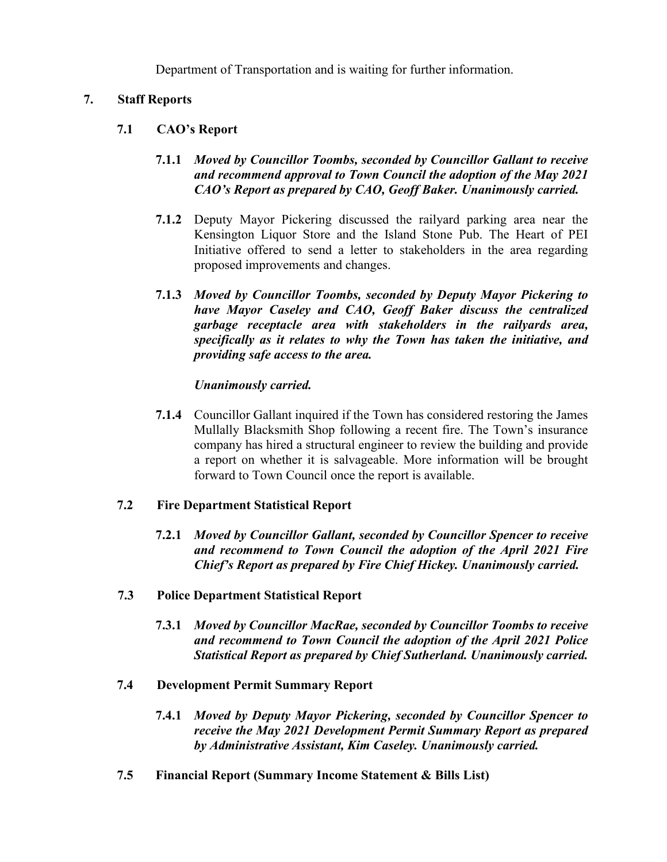Department of Transportation and is waiting for further information.

## **7. Staff Reports**

# **7.1 CAO's Report**

## **7.1.1** *Moved by Councillor Toombs, seconded by Councillor Gallant to receive and recommend approval to Town Council the adoption of the May 2021 CAO's Report as prepared by CAO, Geoff Baker. Unanimously carried.*

- **7.1.2** Deputy Mayor Pickering discussed the railyard parking area near the Kensington Liquor Store and the Island Stone Pub. The Heart of PEI Initiative offered to send a letter to stakeholders in the area regarding proposed improvements and changes.
- **7.1.3** *Moved by Councillor Toombs, seconded by Deputy Mayor Pickering to have Mayor Caseley and CAO, Geoff Baker discuss the centralized garbage receptacle area with stakeholders in the railyards area, specifically as it relates to why the Town has taken the initiative, and providing safe access to the area.*

# *Unanimously carried.*

**7.1.4** Councillor Gallant inquired if the Town has considered restoring the James Mullally Blacksmith Shop following a recent fire. The Town's insurance company has hired a structural engineer to review the building and provide a report on whether it is salvageable. More information will be brought forward to Town Council once the report is available.

## **7.2 Fire Department Statistical Report**

- **7.2.1** *Moved by Councillor Gallant, seconded by Councillor Spencer to receive and recommend to Town Council the adoption of the April 2021 Fire Chief's Report as prepared by Fire Chief Hickey. Unanimously carried.*
- **7.3 Police Department Statistical Report**
	- **7.3.1** *Moved by Councillor MacRae, seconded by Councillor Toombs to receive and recommend to Town Council the adoption of the April 2021 Police Statistical Report as prepared by Chief Sutherland. Unanimously carried.*
- **7.4 Development Permit Summary Report**
	- **7.4.1** *Moved by Deputy Mayor Pickering, seconded by Councillor Spencer to receive the May 2021 Development Permit Summary Report as prepared by Administrative Assistant, Kim Caseley. Unanimously carried.*
- **7.5 Financial Report (Summary Income Statement & Bills List)**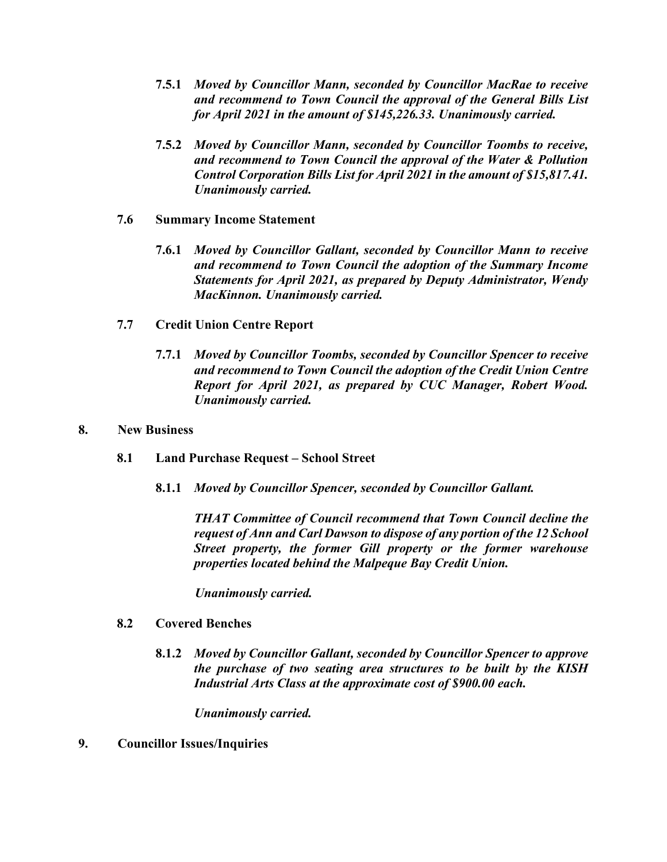- **7.5.1** *Moved by Councillor Mann, seconded by Councillor MacRae to receive and recommend to Town Council the approval of the General Bills List for April 2021 in the amount of \$145,226.33. Unanimously carried.*
- **7.5.2** *Moved by Councillor Mann, seconded by Councillor Toombs to receive, and recommend to Town Council the approval of the Water & Pollution Control Corporation Bills List for April 2021 in the amount of \$15,817.41. Unanimously carried.*
- **7.6 Summary Income Statement**
	- **7.6.1** *Moved by Councillor Gallant, seconded by Councillor Mann to receive and recommend to Town Council the adoption of the Summary Income Statements for April 2021, as prepared by Deputy Administrator, Wendy MacKinnon. Unanimously carried.*
- **7.7 Credit Union Centre Report**
	- **7.7.1** *Moved by Councillor Toombs, seconded by Councillor Spencer to receive and recommend to Town Council the adoption of the Credit Union Centre Report for April 2021, as prepared by CUC Manager, Robert Wood. Unanimously carried.*
- **8. New Business**
	- **8.1 Land Purchase Request – School Street**
		- **8.1.1** *Moved by Councillor Spencer, seconded by Councillor Gallant.*

*THAT Committee of Council recommend that Town Council decline the request of Ann and Carl Dawson to dispose of any portion of the 12 School Street property, the former Gill property or the former warehouse properties located behind the Malpeque Bay Credit Union.*

*Unanimously carried.* 

### **8.2 Covered Benches**

**8.1.2** *Moved by Councillor Gallant, seconded by Councillor Spencer to approve the purchase of two seating area structures to be built by the KISH Industrial Arts Class at the approximate cost of \$900.00 each.*

*Unanimously carried.* 

### **9. Councillor Issues/Inquiries**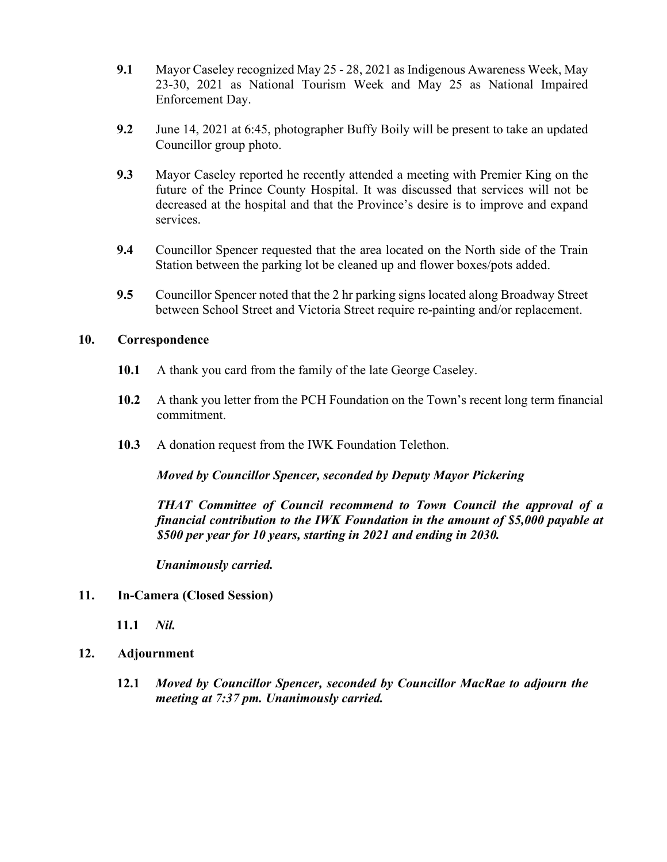- **9.1** Mayor Caseley recognized May 25 28, 2021 as Indigenous Awareness Week, May 23-30, 2021 as National Tourism Week and May 25 as National Impaired Enforcement Day.
- **9.2** June 14, 2021 at 6:45, photographer Buffy Boily will be present to take an updated Councillor group photo.
- **9.3** Mayor Caseley reported he recently attended a meeting with Premier King on the future of the Prince County Hospital. It was discussed that services will not be decreased at the hospital and that the Province's desire is to improve and expand services.
- **9.4** Councillor Spencer requested that the area located on the North side of the Train Station between the parking lot be cleaned up and flower boxes/pots added.
- **9.5** Councillor Spencer noted that the 2 hr parking signs located along Broadway Street between School Street and Victoria Street require re-painting and/or replacement.

### **10. Correspondence**

- **10.1** A thank you card from the family of the late George Caseley.
- **10.2** A thank you letter from the PCH Foundation on the Town's recent long term financial commitment.
- **10.3** A donation request from the IWK Foundation Telethon.

*Moved by Councillor Spencer, seconded by Deputy Mayor Pickering*

*THAT Committee of Council recommend to Town Council the approval of a financial contribution to the IWK Foundation in the amount of \$5,000 payable at \$500 per year for 10 years, starting in 2021 and ending in 2030.*

*Unanimously carried.* 

### **11. In-Camera (Closed Session)**

- **11.1** *Nil.*
- **12. Adjournment**
	- **12.1** *Moved by Councillor Spencer, seconded by Councillor MacRae to adjourn the meeting at 7:37 pm. Unanimously carried.*